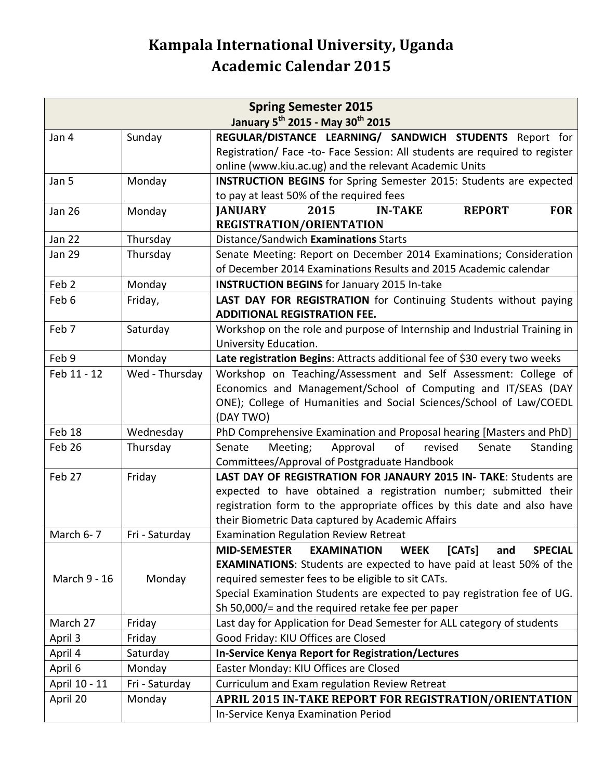## **Kampala International University, Uganda Academic Calendar 2015**

| <b>Spring Semester 2015</b>                              |                |                                                                                             |  |  |  |
|----------------------------------------------------------|----------------|---------------------------------------------------------------------------------------------|--|--|--|
| January 5 <sup>th</sup> 2015 - May 30 <sup>th</sup> 2015 |                |                                                                                             |  |  |  |
| Jan 4                                                    | Sunday         | REGULAR/DISTANCE LEARNING/ SANDWICH STUDENTS Report for                                     |  |  |  |
|                                                          |                | Registration/ Face -to- Face Session: All students are required to register                 |  |  |  |
|                                                          |                | online (www.kiu.ac.ug) and the relevant Academic Units                                      |  |  |  |
| Jan 5                                                    | Monday         | <b>INSTRUCTION BEGINS</b> for Spring Semester 2015: Students are expected                   |  |  |  |
|                                                          |                | to pay at least 50% of the required fees                                                    |  |  |  |
| <b>Jan 26</b>                                            | Monday         | <b>FOR</b><br><b>JANUARY</b><br>2015<br><b>REPORT</b><br><b>IN-TAKE</b>                     |  |  |  |
|                                                          |                | <b>REGISTRATION/ORIENTATION</b>                                                             |  |  |  |
| <b>Jan 22</b>                                            | Thursday       | Distance/Sandwich Examinations Starts                                                       |  |  |  |
| <b>Jan 29</b>                                            | Thursday       | Senate Meeting: Report on December 2014 Examinations; Consideration                         |  |  |  |
|                                                          |                | of December 2014 Examinations Results and 2015 Academic calendar                            |  |  |  |
| Feb <sub>2</sub>                                         | Monday         | <b>INSTRUCTION BEGINS</b> for January 2015 In-take                                          |  |  |  |
| Feb 6                                                    | Friday,        | LAST DAY FOR REGISTRATION for Continuing Students without paying                            |  |  |  |
|                                                          |                | <b>ADDITIONAL REGISTRATION FEE.</b>                                                         |  |  |  |
| Feb 7                                                    | Saturday       | Workshop on the role and purpose of Internship and Industrial Training in                   |  |  |  |
|                                                          |                | University Education.                                                                       |  |  |  |
| Feb 9                                                    | Monday         | Late registration Begins: Attracts additional fee of \$30 every two weeks                   |  |  |  |
| Feb 11 - 12                                              | Wed - Thursday | Workshop on Teaching/Assessment and Self Assessment: College of                             |  |  |  |
|                                                          |                | Economics and Management/School of Computing and IT/SEAS (DAY                               |  |  |  |
|                                                          |                | ONE); College of Humanities and Social Sciences/School of Law/COEDL                         |  |  |  |
|                                                          |                | (DAY TWO)                                                                                   |  |  |  |
| Feb 18                                                   | Wednesday      | PhD Comprehensive Examination and Proposal hearing [Masters and PhD]                        |  |  |  |
| Feb 26                                                   | Thursday       | Meeting;<br>Approval<br>of<br>Senate<br>Standing<br>Senate<br>revised                       |  |  |  |
|                                                          |                | Committees/Approval of Postgraduate Handbook                                                |  |  |  |
| Feb 27                                                   | Friday         | LAST DAY OF REGISTRATION FOR JANAURY 2015 IN- TAKE: Students are                            |  |  |  |
|                                                          |                | expected to have obtained a registration number; submitted their                            |  |  |  |
|                                                          |                | registration form to the appropriate offices by this date and also have                     |  |  |  |
|                                                          |                | their Biometric Data captured by Academic Affairs                                           |  |  |  |
| March 6-7                                                | Fri - Saturday | <b>Examination Regulation Review Retreat</b>                                                |  |  |  |
|                                                          |                | <b>MID-SEMESTER</b><br><b>SPECIAL</b><br><b>EXAMINATION</b><br><b>WEEK</b><br>[CATs]<br>and |  |  |  |
|                                                          |                | <b>EXAMINATIONS:</b> Students are expected to have paid at least 50% of the                 |  |  |  |
| March 9 - 16                                             | Monday         | required semester fees to be eligible to sit CATs.                                          |  |  |  |
|                                                          |                | Special Examination Students are expected to pay registration fee of UG.                    |  |  |  |
|                                                          |                | Sh 50,000/= and the required retake fee per paper                                           |  |  |  |
| March 27                                                 | Friday         | Last day for Application for Dead Semester for ALL category of students                     |  |  |  |
| April 3                                                  | Friday         | Good Friday: KIU Offices are Closed                                                         |  |  |  |
| April 4                                                  | Saturday       | In-Service Kenya Report for Registration/Lectures                                           |  |  |  |
| April 6                                                  | Monday         | Easter Monday: KIU Offices are Closed                                                       |  |  |  |
| April 10 - 11                                            | Fri - Saturday | Curriculum and Exam regulation Review Retreat                                               |  |  |  |
| April 20                                                 | Monday         | <b>APRIL 2015 IN-TAKE REPORT FOR REGISTRATION/ORIENTATION</b>                               |  |  |  |
|                                                          |                | In-Service Kenya Examination Period                                                         |  |  |  |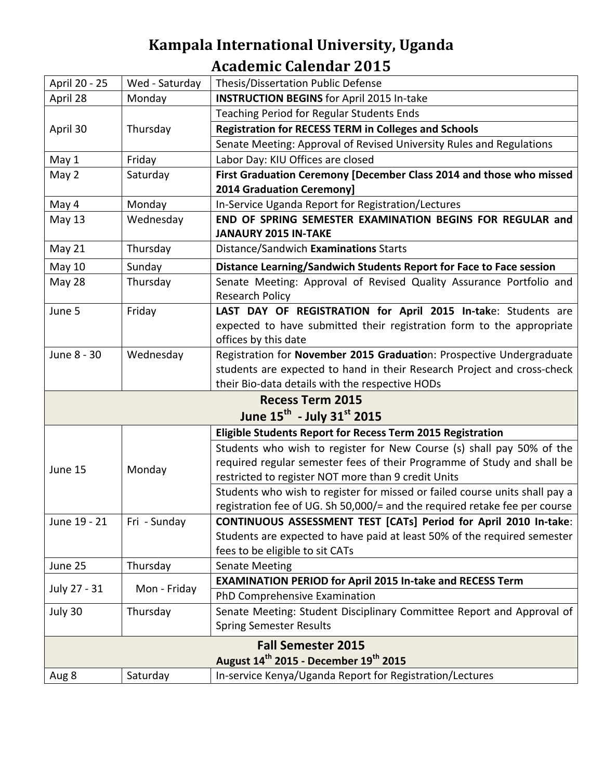## **Kampala International University, Uganda Academic Calendar 2015**

| April 20 - 25                                                 | Wed - Saturday | Thesis/Dissertation Public Defense                                          |  |  |
|---------------------------------------------------------------|----------------|-----------------------------------------------------------------------------|--|--|
| April 28                                                      | Monday         | <b>INSTRUCTION BEGINS</b> for April 2015 In-take                            |  |  |
|                                                               |                | Teaching Period for Regular Students Ends                                   |  |  |
| April 30                                                      | Thursday       | <b>Registration for RECESS TERM in Colleges and Schools</b>                 |  |  |
|                                                               |                | Senate Meeting: Approval of Revised University Rules and Regulations        |  |  |
| May 1                                                         | Friday         | Labor Day: KIU Offices are closed                                           |  |  |
| May 2                                                         | Saturday       | First Graduation Ceremony [December Class 2014 and those who missed         |  |  |
|                                                               |                | <b>2014 Graduation Ceremony]</b>                                            |  |  |
| May 4                                                         | Monday         | In-Service Uganda Report for Registration/Lectures                          |  |  |
| May 13                                                        | Wednesday      | END OF SPRING SEMESTER EXAMINATION BEGINS FOR REGULAR and                   |  |  |
|                                                               |                | <b>JANAURY 2015 IN-TAKE</b>                                                 |  |  |
| May 21                                                        | Thursday       | Distance/Sandwich Examinations Starts                                       |  |  |
| <b>May 10</b>                                                 | Sunday         | Distance Learning/Sandwich Students Report for Face to Face session         |  |  |
| May 28                                                        | Thursday       | Senate Meeting: Approval of Revised Quality Assurance Portfolio and         |  |  |
|                                                               |                | Research Policy                                                             |  |  |
| June 5                                                        | Friday         | LAST DAY OF REGISTRATION for April 2015 In-take: Students are               |  |  |
|                                                               |                | expected to have submitted their registration form to the appropriate       |  |  |
|                                                               |                | offices by this date                                                        |  |  |
| June 8 - 30                                                   | Wednesday      | Registration for November 2015 Graduation: Prospective Undergraduate        |  |  |
|                                                               |                | students are expected to hand in their Research Project and cross-check     |  |  |
|                                                               |                | their Bio-data details with the respective HODs                             |  |  |
|                                                               |                | <b>Recess Term 2015</b>                                                     |  |  |
|                                                               |                | June 15 <sup>th</sup> - July 31 <sup>st</sup> 2015                          |  |  |
|                                                               |                | <b>Eligible Students Report for Recess Term 2015 Registration</b>           |  |  |
|                                                               | Monday         | Students who wish to register for New Course (s) shall pay 50% of the       |  |  |
| June 15                                                       |                | required regular semester fees of their Programme of Study and shall be     |  |  |
|                                                               |                | restricted to register NOT more than 9 credit Units                         |  |  |
|                                                               |                | Students who wish to register for missed or failed course units shall pay a |  |  |
|                                                               |                | registration fee of UG. Sh 50,000/= and the required retake fee per course  |  |  |
| June 19 - 21                                                  | Fri - Sunday   | CONTINUOUS ASSESSMENT TEST [CATs] Period for April 2010 In-take:            |  |  |
|                                                               |                | Students are expected to have paid at least 50% of the required semester    |  |  |
|                                                               |                | fees to be eligible to sit CATs                                             |  |  |
| June 25                                                       | Thursday       | <b>Senate Meeting</b>                                                       |  |  |
| July 27 - 31                                                  | Mon - Friday   | <b>EXAMINATION PERIOD for April 2015 In-take and RECESS Term</b>            |  |  |
|                                                               |                | PhD Comprehensive Examination                                               |  |  |
| July 30                                                       | Thursday       | Senate Meeting: Student Disciplinary Committee Report and Approval of       |  |  |
|                                                               |                | <b>Spring Semester Results</b>                                              |  |  |
| <b>Fall Semester 2015</b>                                     |                |                                                                             |  |  |
| August 14 <sup>th</sup> 2015 - December 19 <sup>th</sup> 2015 |                |                                                                             |  |  |
| Aug 8                                                         | Saturday       | In-service Kenya/Uganda Report for Registration/Lectures                    |  |  |